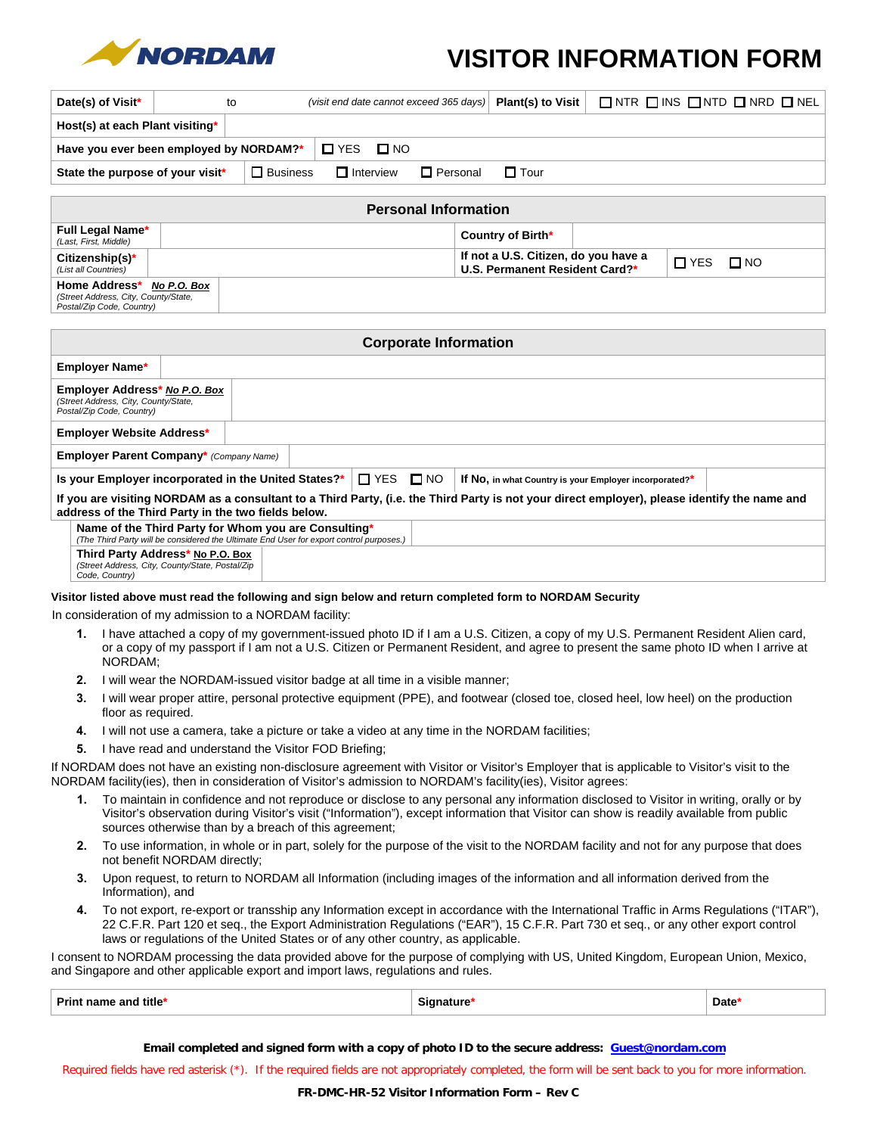

## **VISITOR INFORMATION FORM**

| Date(s) of Visit*                                                                                 | to |                 | (visit end date cannot exceed 365 days) |                 | Plant(s) to Visit                                                      | $\Box$ NTR $\Box$ INS $\Box$ NTD $\Box$ NRD $\Box$ NEL |            |              |  |
|---------------------------------------------------------------------------------------------------|----|-----------------|-----------------------------------------|-----------------|------------------------------------------------------------------------|--------------------------------------------------------|------------|--------------|--|
| Host(s) at each Plant visiting*                                                                   |    |                 |                                         |                 |                                                                        |                                                        |            |              |  |
| $\square$ YES<br>$\square$ NO<br>Have you ever been employed by NORDAM?*                          |    |                 |                                         |                 |                                                                        |                                                        |            |              |  |
| State the purpose of your visit*                                                                  |    | $\Box$ Business | $\Box$ Interview                        | $\Box$ Personal | $\Box$ Tour                                                            |                                                        |            |              |  |
|                                                                                                   |    |                 |                                         |                 |                                                                        |                                                        |            |              |  |
| <b>Personal Information</b>                                                                       |    |                 |                                         |                 |                                                                        |                                                        |            |              |  |
| <b>Full Legal Name*</b><br>(Last, First, Middle)                                                  |    |                 |                                         |                 | Country of Birth*                                                      |                                                        |            |              |  |
| $Citizenship(s)^*$<br>(List all Countries)                                                        |    |                 |                                         |                 | If not a U.S. Citizen, do you have a<br>U.S. Permanent Resident Card?* |                                                        | $\Box$ YES | $\square$ NO |  |
| Home Address*<br>No P.O. Box<br>(Street Address, City, County/State,<br>Postal/Zip Code, Country) |    |                 |                                         |                 |                                                                        |                                                        |            |              |  |
|                                                                                                   |    |                 |                                         |                 |                                                                        |                                                        |            |              |  |
| <b>Corporate Information</b>                                                                      |    |                 |                                         |                 |                                                                        |                                                        |            |              |  |

| Corporate Information                                                                                                                                                                                |                                                |  |  |  |  |  |  |
|------------------------------------------------------------------------------------------------------------------------------------------------------------------------------------------------------|------------------------------------------------|--|--|--|--|--|--|
| <b>Employer Name*</b>                                                                                                                                                                                |                                                |  |  |  |  |  |  |
| Employer Address* No P.O. Box<br>(Street Address, City, County/State,<br>Postal/Zip Code, Country)                                                                                                   |                                                |  |  |  |  |  |  |
| <b>Employer Website Address*</b>                                                                                                                                                                     |                                                |  |  |  |  |  |  |
|                                                                                                                                                                                                      | <b>Employer Parent Company*</b> (Company Name) |  |  |  |  |  |  |
| $\Box$ YES $\Box$ NO<br>Is your Employer incorporated in the United States?*<br>If No, in what Country is your Employer incorporated?*                                                               |                                                |  |  |  |  |  |  |
| If you are visiting NORDAM as a consultant to a Third Party, (i.e. the Third Party is not your direct employer), please identify the name and<br>address of the Third Party in the two fields below. |                                                |  |  |  |  |  |  |
| Name of the Third Party for Whom you are Consulting*<br>(The Third Party will be considered the Ultimate End User for export control purposes.)                                                      |                                                |  |  |  |  |  |  |
| Third Party Address* No P.O. Box<br>(Street Address, City, County/State, Postal/Zip<br>Code, Country)                                                                                                |                                                |  |  |  |  |  |  |

## **Visitor listed above must read the following and sign below and return completed form to NORDAM Security**

In consideration of my admission to a NORDAM facility:

- **1.** I have attached a copy of my government-issued photo ID if I am a U.S. Citizen, a copy of my U.S. Permanent Resident Alien card, or a copy of my passport if I am not a U.S. Citizen or Permanent Resident, and agree to present the same photo ID when I arrive at NORDAM;
- **2.** I will wear the NORDAM-issued visitor badge at all time in a visible manner;
- **3.** I will wear proper attire, personal protective equipment (PPE), and footwear (closed toe, closed heel, low heel) on the production floor as required.
- **4.** I will not use a camera, take a picture or take a video at any time in the NORDAM facilities;
- **5.** I have read and understand the Visitor FOD Briefing;

If NORDAM does not have an existing non-disclosure agreement with Visitor or Visitor's Employer that is applicable to Visitor's visit to the NORDAM facility(ies), then in consideration of Visitor's admission to NORDAM's facility(ies), Visitor agrees:

- **1.** To maintain in confidence and not reproduce or disclose to any personal any information disclosed to Visitor in writing, orally or by Visitor's observation during Visitor's visit ("Information"), except information that Visitor can show is readily available from public sources otherwise than by a breach of this agreement;
- **2.** To use information, in whole or in part, solely for the purpose of the visit to the NORDAM facility and not for any purpose that does not benefit NORDAM directly;
- **3.** Upon request, to return to NORDAM all Information (including images of the information and all information derived from the Information), and
- **4.** To not export, re-export or transship any Information except in accordance with the International Traffic in Arms Regulations ("ITAR"), 22 C.F.R. Part 120 et seq., the Export Administration Regulations ("EAR"), 15 C.F.R. Part 730 et seq., or any other export control laws or regulations of the United States or of any other country, as applicable.

I consent to NORDAM processing the data provided above for the purpose of complying with US, United Kingdom, European Union, Mexico, and Singapore and other applicable export and import laws, regulations and rules.

| Print<br>$\iota$ name and title* | Sianature | Date <sup>®</sup> |
|----------------------------------|-----------|-------------------|
|----------------------------------|-----------|-------------------|

**Email completed and signed form with a copy of photo ID to the secure address: Guest@nordam.com** 

Required fields have red asterisk (\*). If the required fields are not appropriately completed, the form will be sent back to you for more information.